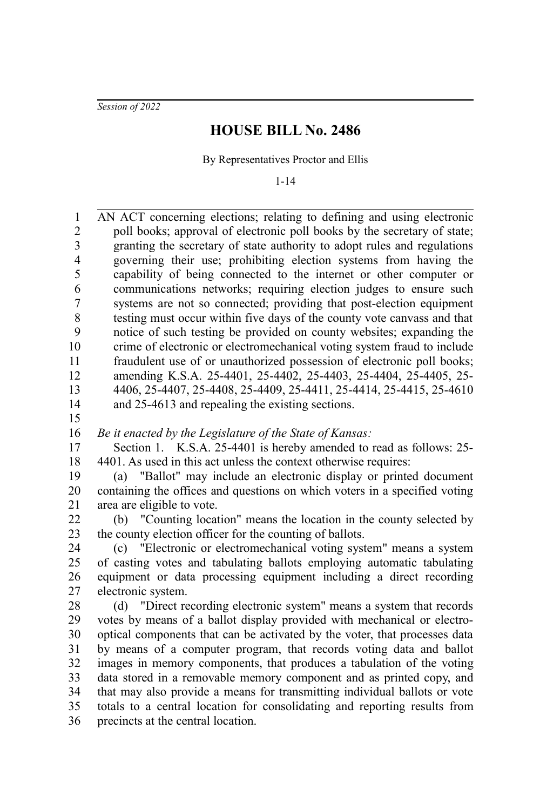*Session of 2022*

## **HOUSE BILL No. 2486**

By Representatives Proctor and Ellis

1-14

AN ACT concerning elections; relating to defining and using electronic poll books; approval of electronic poll books by the secretary of state; granting the secretary of state authority to adopt rules and regulations governing their use; prohibiting election systems from having the capability of being connected to the internet or other computer or communications networks; requiring election judges to ensure such systems are not so connected; providing that post-election equipment testing must occur within five days of the county vote canvass and that notice of such testing be provided on county websites; expanding the crime of electronic or electromechanical voting system fraud to include fraudulent use of or unauthorized possession of electronic poll books; amending K.S.A. 25-4401, 25-4402, 25-4403, 25-4404, 25-4405, 25- 4406, 25-4407, 25-4408, 25-4409, 25-4411, 25-4414, 25-4415, 25-4610 and 25-4613 and repealing the existing sections. *Be it enacted by the Legislature of the State of Kansas:* Section 1. K.S.A. 25-4401 is hereby amended to read as follows: 25- 4401. As used in this act unless the context otherwise requires: (a) "Ballot" may include an electronic display or printed document containing the offices and questions on which voters in a specified voting area are eligible to vote. (b) "Counting location" means the location in the county selected by the county election officer for the counting of ballots. (c) "Electronic or electromechanical voting system" means a system of casting votes and tabulating ballots employing automatic tabulating equipment or data processing equipment including a direct recording electronic system. (d) "Direct recording electronic system" means a system that records votes by means of a ballot display provided with mechanical or electrooptical components that can be activated by the voter, that processes data by means of a computer program, that records voting data and ballot images in memory components, that produces a tabulation of the voting data stored in a removable memory component and as printed copy, and that may also provide a means for transmitting individual ballots or vote totals to a central location for consolidating and reporting results from precincts at the central location. 1 2 3 4 5 6 7 8 9 10 11 12 13 14 15 16 17 18 19 20 21 22 23 24 25 26 27 28 29 30 31 32 33 34 35 36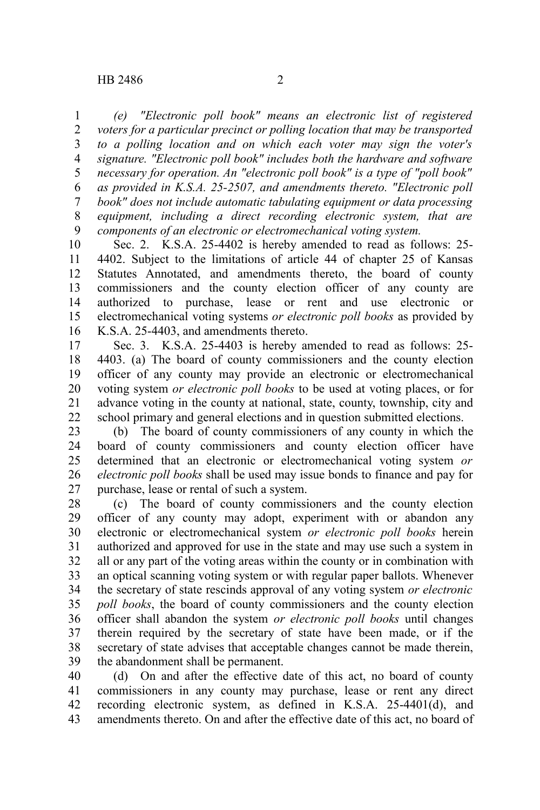*(e) "Electronic poll book" means an electronic list of registered voters for a particular precinct or polling location that may be transported to a polling location and on which each voter may sign the voter's signature. "Electronic poll book" includes both the hardware and software necessary for operation. An "electronic poll book" is a type of "poll book" as provided in K.S.A. 25-2507, and amendments thereto. "Electronic poll book" does not include automatic tabulating equipment or data processing equipment, including a direct recording electronic system, that are components of an electronic or electromechanical voting system.* 1 2 3 4 5 6 7 8 9

Sec. 2. K.S.A. 25-4402 is hereby amended to read as follows: 25- 4402. Subject to the limitations of article 44 of chapter 25 of Kansas Statutes Annotated, and amendments thereto, the board of county commissioners and the county election officer of any county are authorized to purchase, lease or rent and use electronic or electromechanical voting systems *or electronic poll books* as provided by K.S.A. 25-4403, and amendments thereto. 10 11 12 13 14 15 16

Sec. 3. K.S.A. 25-4403 is hereby amended to read as follows: 25- 4403. (a) The board of county commissioners and the county election officer of any county may provide an electronic or electromechanical voting system *or electronic poll books* to be used at voting places, or for advance voting in the county at national, state, county, township, city and school primary and general elections and in question submitted elections. 17 18 19 20 21 22

(b) The board of county commissioners of any county in which the board of county commissioners and county election officer have determined that an electronic or electromechanical voting system *or electronic poll books* shall be used may issue bonds to finance and pay for purchase, lease or rental of such a system. 23 24 25 26 27

(c) The board of county commissioners and the county election officer of any county may adopt, experiment with or abandon any electronic or electromechanical system *or electronic poll books* herein authorized and approved for use in the state and may use such a system in all or any part of the voting areas within the county or in combination with an optical scanning voting system or with regular paper ballots. Whenever the secretary of state rescinds approval of any voting system *or electronic poll books*, the board of county commissioners and the county election officer shall abandon the system *or electronic poll books* until changes therein required by the secretary of state have been made, or if the secretary of state advises that acceptable changes cannot be made therein, the abandonment shall be permanent. 28 29 30 31 32 33 34 35 36 37 38 39

(d) On and after the effective date of this act, no board of county commissioners in any county may purchase, lease or rent any direct recording electronic system, as defined in K.S.A. 25-4401(d), and amendments thereto. On and after the effective date of this act, no board of 40 41 42 43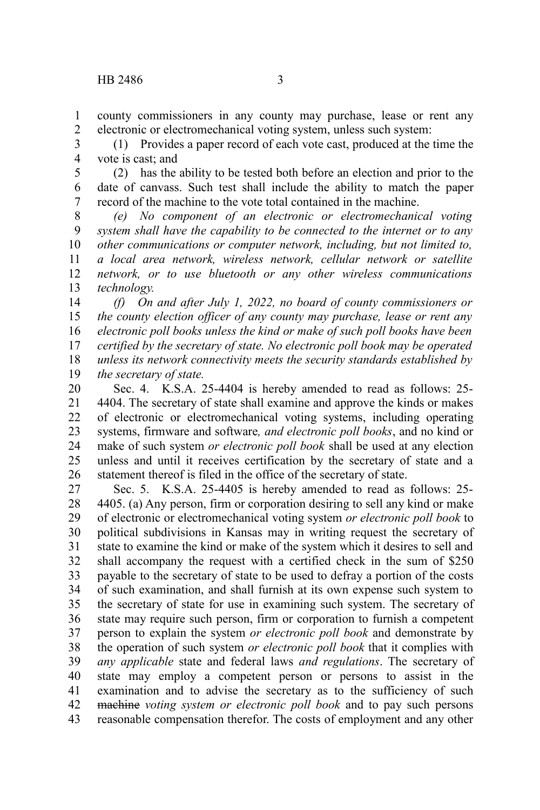county commissioners in any county may purchase, lease or rent any electronic or electromechanical voting system, unless such system: 1 2

(1) Provides a paper record of each vote cast, produced at the time the vote is cast; and 3 4

(2) has the ability to be tested both before an election and prior to the date of canvass. Such test shall include the ability to match the paper record of the machine to the vote total contained in the machine. 5 6 7

*(e) No component of an electronic or electromechanical voting system shall have the capability to be connected to the internet or to any other communications or computer network, including, but not limited to, a local area network, wireless network, cellular network or satellite network, or to use bluetooth or any other wireless communications technology.* 8 9 10 11 12 13

*(f) On and after July 1, 2022, no board of county commissioners or the county election officer of any county may purchase, lease or rent any electronic poll books unless the kind or make of such poll books have been certified by the secretary of state. No electronic poll book may be operated unless its network connectivity meets the security standards established by the secretary of state.* 14 15 16 17 18 19

Sec. 4. K.S.A. 25-4404 is hereby amended to read as follows: 25- 4404. The secretary of state shall examine and approve the kinds or makes of electronic or electromechanical voting systems, including operating systems, firmware and software*, and electronic poll books*, and no kind or make of such system *or electronic poll book* shall be used at any election unless and until it receives certification by the secretary of state and a statement thereof is filed in the office of the secretary of state. 20 21 22 23 24 25 26

Sec. 5. K.S.A. 25-4405 is hereby amended to read as follows: 25- 4405. (a) Any person, firm or corporation desiring to sell any kind or make of electronic or electromechanical voting system *or electronic poll book* to political subdivisions in Kansas may in writing request the secretary of state to examine the kind or make of the system which it desires to sell and shall accompany the request with a certified check in the sum of \$250 payable to the secretary of state to be used to defray a portion of the costs of such examination, and shall furnish at its own expense such system to the secretary of state for use in examining such system. The secretary of state may require such person, firm or corporation to furnish a competent person to explain the system *or electronic poll book* and demonstrate by the operation of such system *or electronic poll book* that it complies with *any applicable* state and federal laws *and regulations*. The secretary of state may employ a competent person or persons to assist in the examination and to advise the secretary as to the sufficiency of such machine *voting system or electronic poll book* and to pay such persons reasonable compensation therefor. The costs of employment and any other 27 28 29 30 31 32 33 34 35 36 37 38 39 40 41 42 43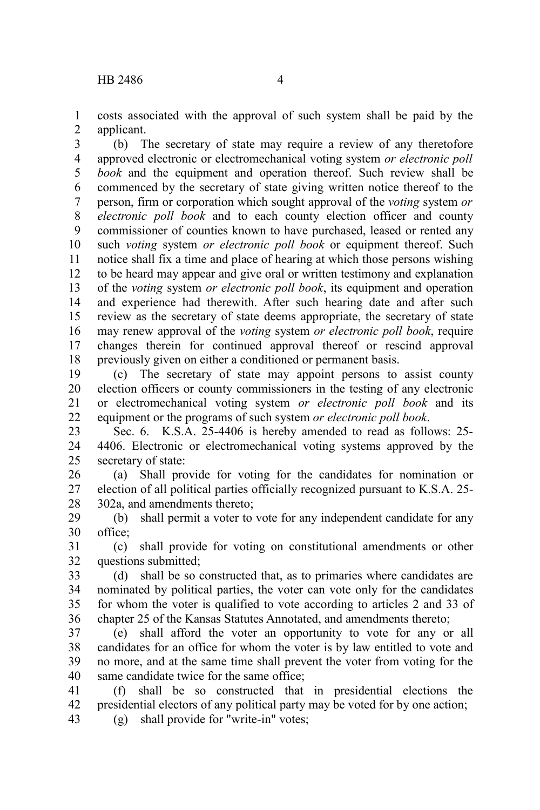costs associated with the approval of such system shall be paid by the applicant. 1 2

(b) The secretary of state may require a review of any theretofore approved electronic or electromechanical voting system *or electronic poll book* and the equipment and operation thereof. Such review shall be commenced by the secretary of state giving written notice thereof to the person, firm or corporation which sought approval of the *voting* system *or electronic poll book* and to each county election officer and county commissioner of counties known to have purchased, leased or rented any such *voting* system *or electronic poll book* or equipment thereof. Such notice shall fix a time and place of hearing at which those persons wishing to be heard may appear and give oral or written testimony and explanation of the *voting* system *or electronic poll book*, its equipment and operation and experience had therewith. After such hearing date and after such review as the secretary of state deems appropriate, the secretary of state may renew approval of the *voting* system *or electronic poll book*, require changes therein for continued approval thereof or rescind approval previously given on either a conditioned or permanent basis. 3 4 5 6 7 8 9 10 11 12 13 14 15 16 17 18

(c) The secretary of state may appoint persons to assist county election officers or county commissioners in the testing of any electronic or electromechanical voting system *or electronic poll book* and its equipment or the programs of such system *or electronic poll book*. 19 20 21 22

Sec. 6. K.S.A. 25-4406 is hereby amended to read as follows: 25- 4406. Electronic or electromechanical voting systems approved by the secretary of state: 23 24 25

(a) Shall provide for voting for the candidates for nomination or election of all political parties officially recognized pursuant to K.S.A. 25- 302a, and amendments thereto; 26 27 28

(b) shall permit a voter to vote for any independent candidate for any office; 29 30

(c) shall provide for voting on constitutional amendments or other questions submitted; 31 32

(d) shall be so constructed that, as to primaries where candidates are nominated by political parties, the voter can vote only for the candidates for whom the voter is qualified to vote according to articles 2 and 33 of chapter 25 of the Kansas Statutes Annotated, and amendments thereto; 33 34 35 36

(e) shall afford the voter an opportunity to vote for any or all candidates for an office for whom the voter is by law entitled to vote and no more, and at the same time shall prevent the voter from voting for the same candidate twice for the same office: 37 38 39 40

(f) shall be so constructed that in presidential elections the presidential electors of any political party may be voted for by one action; 41 42 43

(g) shall provide for "write-in" votes;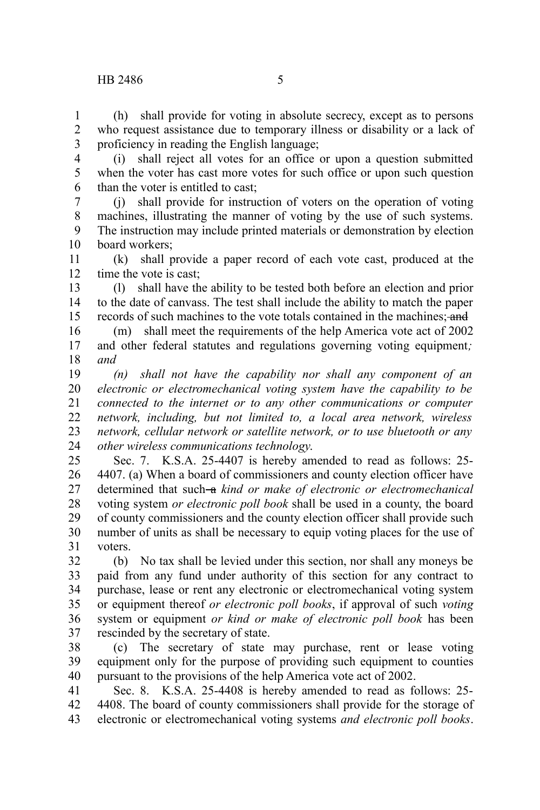## HB 2486 5

1

(h) shall provide for voting in absolute secrecy, except as to persons who request assistance due to temporary illness or disability or a lack of proficiency in reading the English language; 2 3

(i) shall reject all votes for an office or upon a question submitted when the voter has cast more votes for such office or upon such question than the voter is entitled to cast; 4 5 6

(j) shall provide for instruction of voters on the operation of voting machines, illustrating the manner of voting by the use of such systems. The instruction may include printed materials or demonstration by election board workers; 7 8 9 10

(k) shall provide a paper record of each vote cast, produced at the time the vote is cast; 11 12

(l) shall have the ability to be tested both before an election and prior to the date of canvass. The test shall include the ability to match the paper records of such machines to the vote totals contained in the machines; and 13 14 15

(m) shall meet the requirements of the help America vote act of 2002 and other federal statutes and regulations governing voting equipment*; and* 16 17 18

*(n) shall not have the capability nor shall any component of an electronic or electromechanical voting system have the capability to be connected to the internet or to any other communications or computer network, including, but not limited to, a local area network, wireless network, cellular network or satellite network, or to use bluetooth or any other wireless communications technology*. 19 20 21 22 23 24

Sec. 7. K.S.A. 25-4407 is hereby amended to read as follows: 25- 4407. (a) When a board of commissioners and county election officer have determined that such-a kind or make of electronic or electromechanical voting system *or electronic poll book* shall be used in a county, the board of county commissioners and the county election officer shall provide such number of units as shall be necessary to equip voting places for the use of voters. 25 26 27 28 29 30 31

(b) No tax shall be levied under this section, nor shall any moneys be paid from any fund under authority of this section for any contract to purchase, lease or rent any electronic or electromechanical voting system or equipment thereof *or electronic poll books*, if approval of such *voting* system or equipment *or kind or make of electronic poll book* has been rescinded by the secretary of state. 32 33 34 35 36 37

(c) The secretary of state may purchase, rent or lease voting equipment only for the purpose of providing such equipment to counties pursuant to the provisions of the help America vote act of 2002. 38 39 40

Sec. 8. K.S.A. 25-4408 is hereby amended to read as follows: 25- 4408. The board of county commissioners shall provide for the storage of electronic or electromechanical voting systems *and electronic poll books*. 41 42 43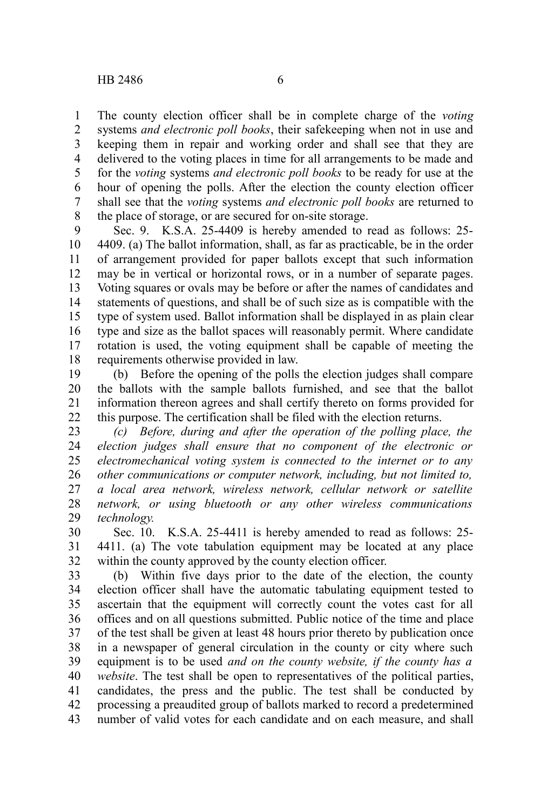The county election officer shall be in complete charge of the *voting* systems *and electronic poll books*, their safekeeping when not in use and keeping them in repair and working order and shall see that they are delivered to the voting places in time for all arrangements to be made and for the *voting* systems *and electronic poll books* to be ready for use at the hour of opening the polls. After the election the county election officer shall see that the *voting* systems *and electronic poll books* are returned to the place of storage, or are secured for on-site storage. 1 2 3 4 5 6 7 8

Sec. 9. K.S.A. 25-4409 is hereby amended to read as follows: 25- 4409. (a) The ballot information, shall, as far as practicable, be in the order of arrangement provided for paper ballots except that such information may be in vertical or horizontal rows, or in a number of separate pages. Voting squares or ovals may be before or after the names of candidates and statements of questions, and shall be of such size as is compatible with the type of system used. Ballot information shall be displayed in as plain clear type and size as the ballot spaces will reasonably permit. Where candidate rotation is used, the voting equipment shall be capable of meeting the requirements otherwise provided in law. 9 10 11 12 13 14 15 16 17 18

(b) Before the opening of the polls the election judges shall compare the ballots with the sample ballots furnished, and see that the ballot information thereon agrees and shall certify thereto on forms provided for this purpose. The certification shall be filed with the election returns. 19 20 21 22

*(c) Before, during and after the operation of the polling place, the election judges shall ensure that no component of the electronic or electromechanical voting system is connected to the internet or to any other communications or computer network, including, but not limited to, a local area network, wireless network, cellular network or satellite network, or using bluetooth or any other wireless communications technology.* 23 24 25 26 27 28 29

Sec. 10. K.S.A. 25-4411 is hereby amended to read as follows: 25- 4411. (a) The vote tabulation equipment may be located at any place within the county approved by the county election officer. 30 31 32

(b) Within five days prior to the date of the election, the county election officer shall have the automatic tabulating equipment tested to ascertain that the equipment will correctly count the votes cast for all offices and on all questions submitted. Public notice of the time and place of the test shall be given at least 48 hours prior thereto by publication once in a newspaper of general circulation in the county or city where such equipment is to be used *and on the county website, if the county has a website*. The test shall be open to representatives of the political parties, candidates, the press and the public. The test shall be conducted by processing a preaudited group of ballots marked to record a predetermined number of valid votes for each candidate and on each measure, and shall 33 34 35 36 37 38 39 40 41 42 43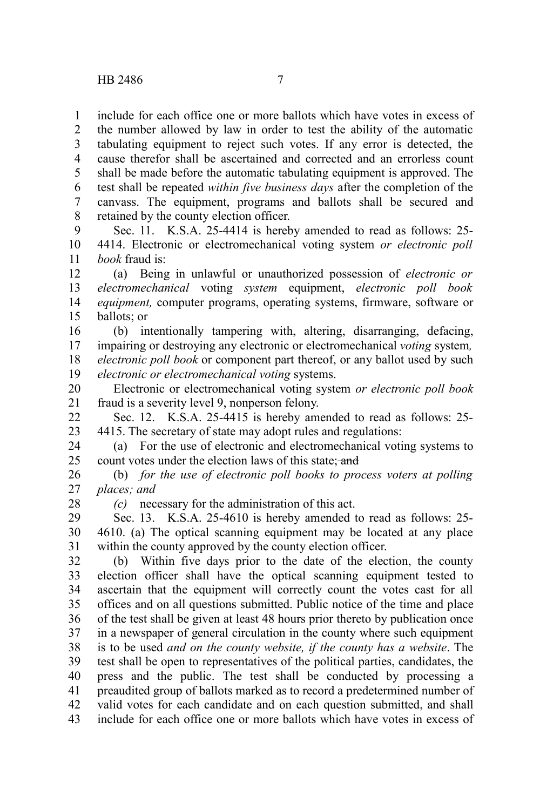include for each office one or more ballots which have votes in excess of the number allowed by law in order to test the ability of the automatic tabulating equipment to reject such votes. If any error is detected, the cause therefor shall be ascertained and corrected and an errorless count shall be made before the automatic tabulating equipment is approved. The test shall be repeated *within five business days* after the completion of the canvass. The equipment, programs and ballots shall be secured and retained by the county election officer. 1 2 3 4 5 6 7 8

Sec. 11. K.S.A. 25-4414 is hereby amended to read as follows: 25- 4414. Electronic or electromechanical voting system *or electronic poll book* fraud is: 9 10 11

(a) Being in unlawful or unauthorized possession of *electronic or electromechanical* voting *system* equipment, *electronic poll book equipment,* computer programs, operating systems, firmware, software or ballots; or 12 13 14 15

(b) intentionally tampering with, altering, disarranging, defacing, impairing or destroying any electronic or electromechanical *voting* system*, electronic poll book* or component part thereof, or any ballot used by such *electronic or electromechanical voting* systems. 16 17 18 19

Electronic or electromechanical voting system *or electronic poll book* fraud is a severity level 9, nonperson felony. 20 21

Sec. 12. K.S.A. 25-4415 is hereby amended to read as follows: 25- 4415. The secretary of state may adopt rules and regulations: 22 23

(a) For the use of electronic and electromechanical voting systems to count votes under the election laws of this state; and 24 25

(b) *for the use of electronic poll books to process voters at polling places; and* 26 27

28

*(c)* necessary for the administration of this act.

Sec. 13. K.S.A. 25-4610 is hereby amended to read as follows: 25- 4610. (a) The optical scanning equipment may be located at any place within the county approved by the county election officer. 29 30 31

(b) Within five days prior to the date of the election, the county election officer shall have the optical scanning equipment tested to ascertain that the equipment will correctly count the votes cast for all offices and on all questions submitted. Public notice of the time and place of the test shall be given at least 48 hours prior thereto by publication once in a newspaper of general circulation in the county where such equipment is to be used *and on the county website, if the county has a website*. The test shall be open to representatives of the political parties, candidates, the press and the public. The test shall be conducted by processing a preaudited group of ballots marked as to record a predetermined number of valid votes for each candidate and on each question submitted, and shall include for each office one or more ballots which have votes in excess of 32 33 34 35 36 37 38 39 40 41 42 43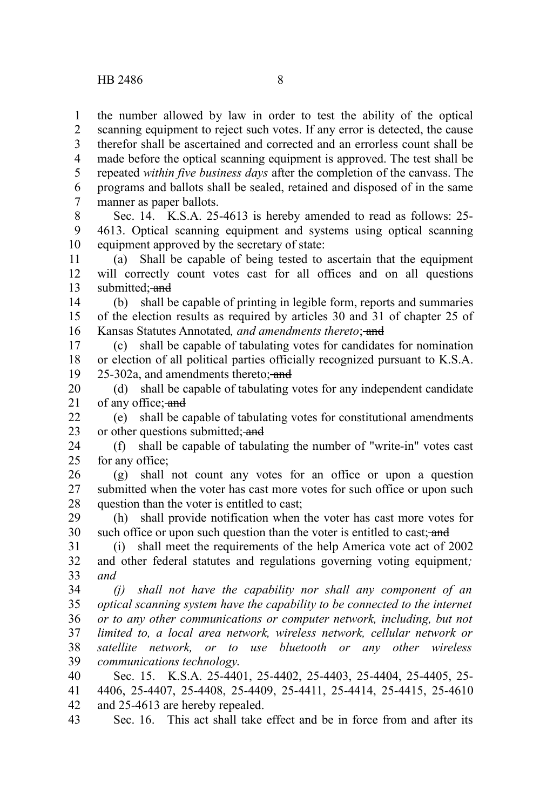the number allowed by law in order to test the ability of the optical scanning equipment to reject such votes. If any error is detected, the cause therefor shall be ascertained and corrected and an errorless count shall be made before the optical scanning equipment is approved. The test shall be repeated *within five business days* after the completion of the canvass. The programs and ballots shall be sealed, retained and disposed of in the same manner as paper ballots. 1 2 3 4 5 6 7

Sec. 14. K.S.A. 25-4613 is hereby amended to read as follows: 25- 4613. Optical scanning equipment and systems using optical scanning equipment approved by the secretary of state: 8 9 10

(a) Shall be capable of being tested to ascertain that the equipment will correctly count votes cast for all offices and on all questions submitted: and 11 12 13

(b) shall be capable of printing in legible form, reports and summaries of the election results as required by articles 30 and 31 of chapter 25 of Kansas Statutes Annotated, and amendments thereto; and 14 15 16

(c) shall be capable of tabulating votes for candidates for nomination or election of all political parties officially recognized pursuant to K.S.A. 25-302a, and amendments thereto; and 17 18 19

(d) shall be capable of tabulating votes for any independent candidate of any office; and 20 21

(e) shall be capable of tabulating votes for constitutional amendments or other questions submitted; and  $22$ 23

(f) shall be capable of tabulating the number of "write-in" votes cast for any office; 24 25

(g) shall not count any votes for an office or upon a question submitted when the voter has cast more votes for such office or upon such question than the voter is entitled to cast; 26 27 28

(h) shall provide notification when the voter has cast more votes for such office or upon such question than the voter is entitled to cast; and 29 30

(i) shall meet the requirements of the help America vote act of 2002 and other federal statutes and regulations governing voting equipment*; and* 31 32 33

*(j) shall not have the capability nor shall any component of an optical scanning system have the capability to be connected to the internet or to any other communications or computer network, including, but not limited to, a local area network, wireless network, cellular network or satellite network, or to use bluetooth or any other wireless communications technology*. 34 35 36 37 38 39

Sec. 15. K.S.A. 25-4401, 25-4402, 25-4403, 25-4404, 25-4405, 25- 4406, 25-4407, 25-4408, 25-4409, 25-4411, 25-4414, 25-4415, 25-4610 and 25-4613 are hereby repealed. 40 41 42

Sec. 16. This act shall take effect and be in force from and after its 43